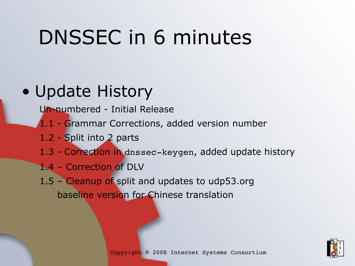# DNSSEC in 6 minutes

#### • Update History

Un-numbered - Initial Release

- 1.1 Grammar Corrections, added version number
- 1.2 Split into 2 parts
- 1.3 Correction in dnssec-keygen, added update history
- 1.4 Correction of DLV

1.5 – Cleanup of split and updates to udp53.org baseline version for Chinese translation

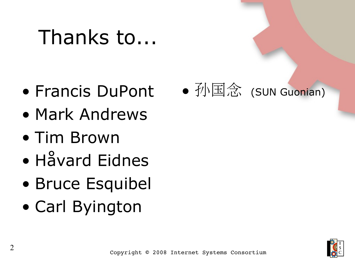# Thanks to...

- Francis DuPont
- Mark Andrews
- Tim Brown
- Håvard Eidnes
- Bruce Esquibel
- Carl Byington



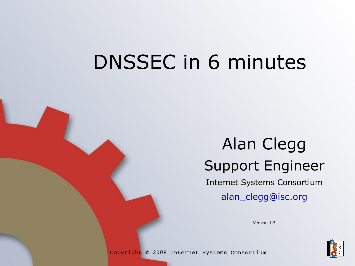### DNSSEC in 6 minutes

#### Alan Clegg Support Engineer Internet Systems Consortium [alan\\_clegg@isc.org](mailto:alan_clegg@isc.org)

Version 1.5



Copyright © 2008 Internet Systems Consortium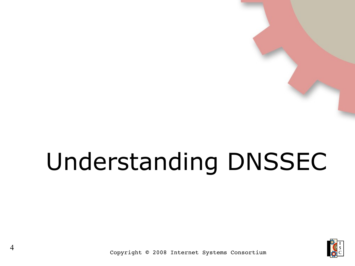# Understanding DNSSEC

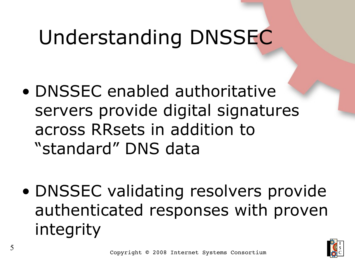# Understanding DNSSEC

- DNSSEC enabled authoritative servers provide digital signatures across RRsets in addition to "standard" DNS data
- DNSSEC validating resolvers provide authenticated responses with proven integrity

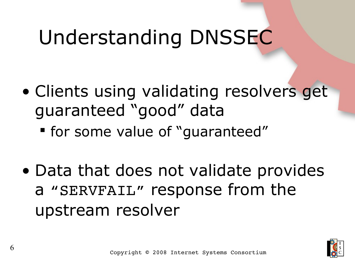# Understanding DNSSEC

- Clients using validating resolvers get guaranteed "good" data
	- for some value of "guaranteed"
- Data that does not validate provides a "SERVFAIL" response from the upstream resolver

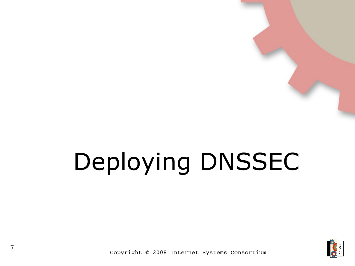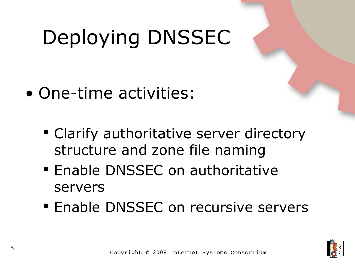- One-time activities:
	- Clarify authoritative server directory structure and zone file naming
	- **Enable DNSSEC on authoritative** servers
	- **Enable DNSSEC on recursive servers**

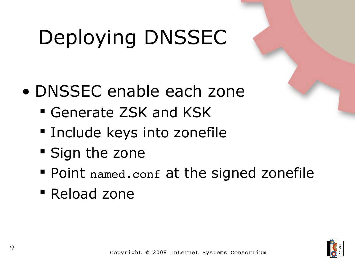- DNSSEC enable each zone
	- Generate ZSK and KSK
	- **Include keys into zonefile**
	- **Sign the zone**
	- Point named.conf at the signed zonefile
	- Reload zone

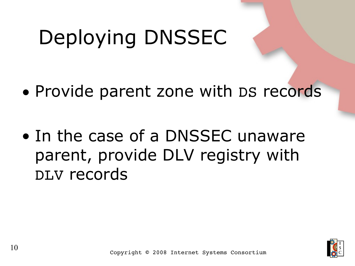- Provide parent zone with DS records
- In the case of a DNSSEC unaware parent, provide DLV registry with DLV records

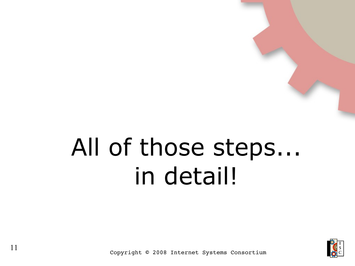# All of those steps... in detail!

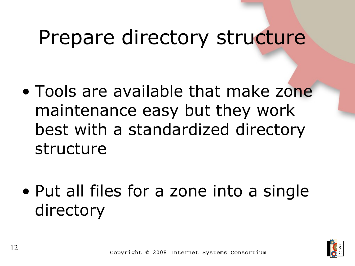### Prepare directory structure

- Tools are available that make zone maintenance easy but they work best with a standardized directory structure
- Put all files for a zone into a single directory

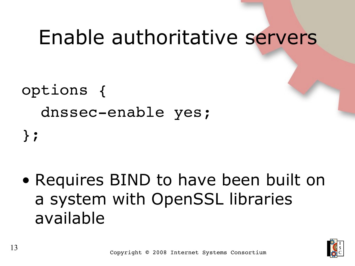### Enable authoritative servers

```
options {
dnssec-enable yes;
```
};

• Requires BIND to have been built on a system with OpenSSL libraries available

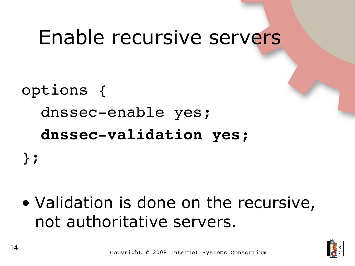### Enable recursive servers

options { dnssec-enable yes; dnssec-validation yes; };

• Validation is done on the recursive, not authoritative servers.

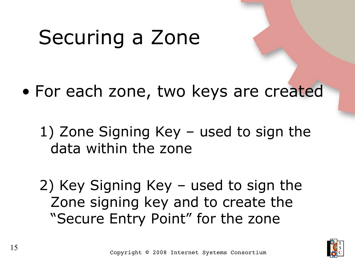# Securing a Zone

• For each zone, two keys are created

1) Zone Signing Key – used to sign the data within the zone

2) Key Signing Key – used to sign the Zone signing key and to create the "Secure Entry Point" for the zone

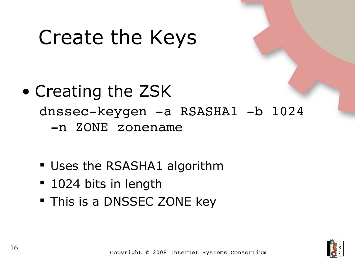# Create the Keys

- Creating the ZSK dnssec-keygen -a RSASHA1 -b 1024 n ZONE zonename
	- Uses the RSASHA1 algorithm
	- **1024 bits in length**
	- **This is a DNSSEC ZONE key**

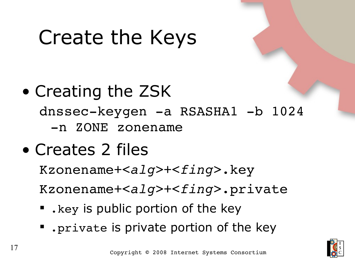# Create the Keys

- Creating the ZSK dnssec-keygen -a RSASHA1 -b 1024 n ZONE zonename
- Creates 2 files

Kzonename+*<alg>*+*<fing>*.key

Kzonename+*<alg>*+*<fing>*.private

- $\blacksquare$ . key is public portion of the key
- **.** private is private portion of the key

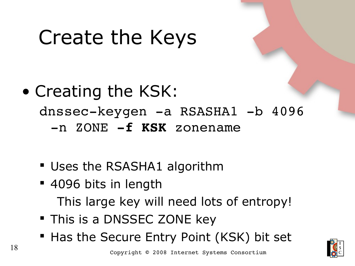# Create the Keys

- Creating the KSK: dnssec-keygen -a RSASHA1 -b 4096 -n ZONE -f KSK zonename
	- Uses the RSASHA1 algorithm
	- 4096 bits in length This large key will need lots of entropy!
	- **This is a DNSSEC ZONE key**
	- **Has the Secure Entry Point (KSK) bit set**

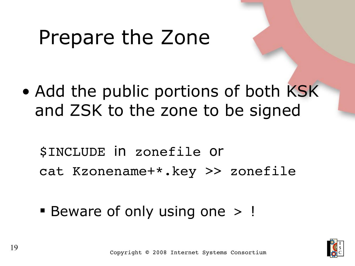# Prepare the Zone

• Add the public portions of both KSK and ZSK to the zone to be signed

\$INCLUDE in zonefile or cat Kzonename+\*.key >> zonefile

Beware of only using one > !

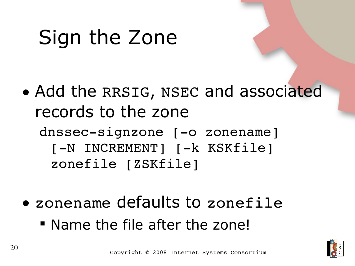• Add the RRSIG, NSEC and associated records to the zone

dnssec-signzone [-o zonename] [-N INCREMENT] [-k KSKfile] zonefile [ZSKfile]

• zonename defaults to zonefile Name the file after the zone!

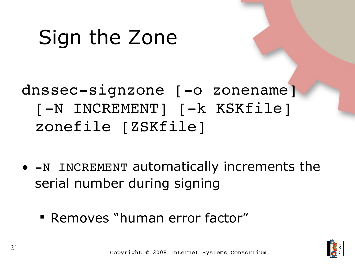#### dnssec-signzone [-o zonename] [-N INCREMENT] [-k KSKfile] zonefile [ZSKfile]

- $\bullet$   $-N$  INCREMENT automatically increments the serial number during signing
	- Removes "human error factor"

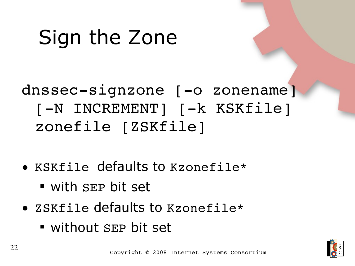#### dnssec-signzone [-o zonename] [-N INCREMENT] [-k KSKfile] zonefile [ZSKfile]

- KSKfile defaults to Kzonefile\*
	- with SEP bit set
- ZSKfile defaults to Kzonefile\*
	- without SEP bit set

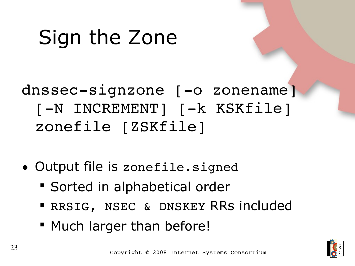#### dnssec-signzone [-o zonename] [-N INCREMENT] [-k KSKfile] zonefile [ZSKfile]

- Output file is zonefile.signed
	- Sorted in alphabetical order
	- RRSIG, NSEC & DNSKEY RRs included
	- Much larger than before!

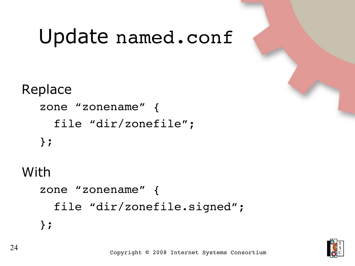### Update named.conf

Replace zone "zonename" { file "dir/zonefile"; };

zone "zonename" { file "dir/zonefile.signed"; };



With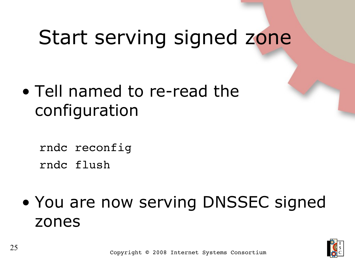# Start serving signed zone

- Tell named to re-read the configuration
	- rndc reconfig rndc flush
- You are now serving DNSSEC signed zones

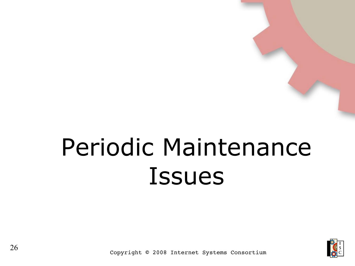# Periodic Maintenance Issues

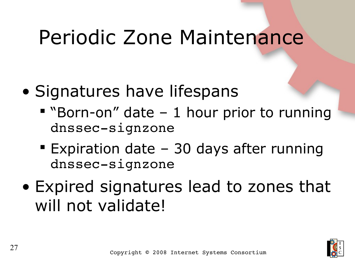### Periodic Zone Maintenance

- Signatures have lifespans
	- "Born-on" date 1 hour prior to running dnssec-signzone
	- Expiration date 30 days after running dnssec-signzone
- Expired signatures lead to zones that will not validate!

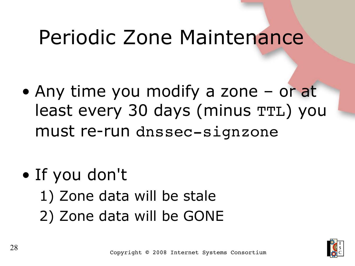### Periodic Zone Maintenance

- Any time you modify a zone or at least every 30 days (minus TTL) you must re-run dnssec-signzone
- If you don't
	- 1) Zone data will be stale
	- 2) Zone data will be GONE

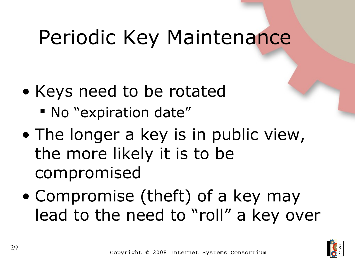# Periodic Key Maintenance

- Keys need to be rotated No "expiration date"
- The longer a key is in public view, the more likely it is to be compromised
- Compromise (theft) of a key may lead to the need to "roll" a key over

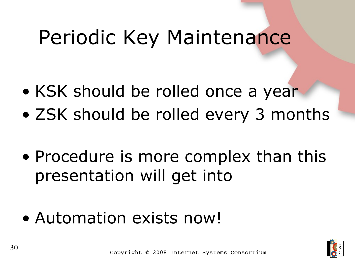### Periodic Key Maintenance

- KSK should be rolled once a year
- ZSK should be rolled every 3 months
- Procedure is more complex than this presentation will get into
- Automation exists now!

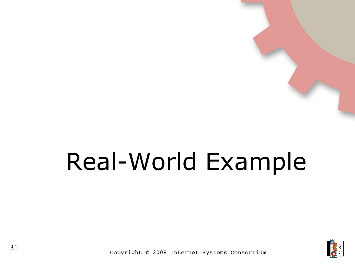# Real-World Example

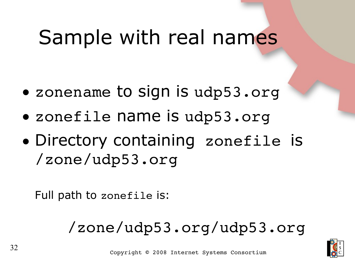- zonename to sign is udp53.org
- zonefile name is udp53.org
- Directory containing zonefile is /zone/udp53.org

Full path to zonefile is:

#### /zone/udp53.org/udp53.org

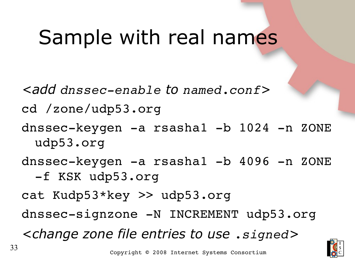*<add dnssecenable to named.conf>*

cd /zone/udp53.org

- dnssec-keygen -a rsasha1 -b 1024 -n ZONE udp53.org
- dnssec-keygen -a rsasha1 -b 4096 -n ZONE -f KSK udp53.org

cat Kudp53\*key >> udp53.org

dnssec-signzone -N INCREMENT udp53.org

*<change zone file entries to use .signed>*

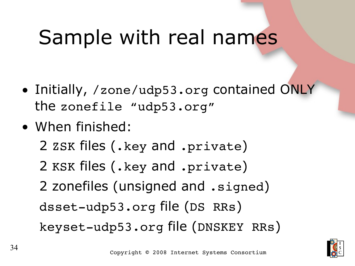- Initially, /zone/udp53.org contained ONLY the zonefile "udp53.org"
- When finished:
	- 2 ZSK files (.key and .private)
	- 2 KSK files (.key and .private)
	- 2 zonefiles (unsigned and .signed)

 $d$ sset-udp53.org file (DS RRs)

keyset-udp53.org file (DNSKEY RRs)

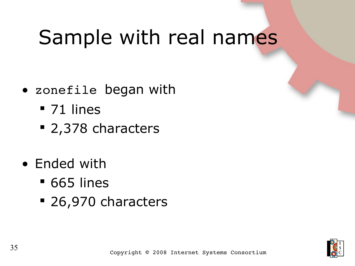- zonefile began with
	- 71 lines
	- 2,378 characters
- Ended with
	- 665 lines
	- 26,970 characters

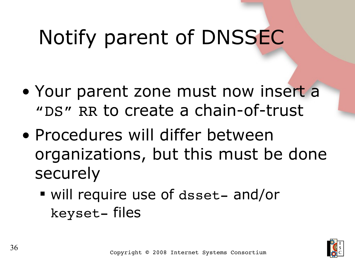# Notify parent of DNSSEC

- Your parent zone must now insert a "DS" RR to create a chain-of-trust
- Procedures will differ between organizations, but this must be done securely
	- will require use of dsset- and/or keyset-files

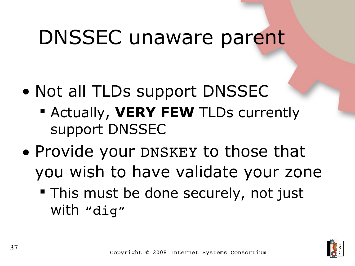## DNSSEC unaware parent

- Not all TLDs support DNSSEC
	- **Actually, VERY FEW TLDs currently** support DNSSEC
- Provide your DNSKEY to those that you wish to have validate your zone
	- This must be done securely, not just with "dig"

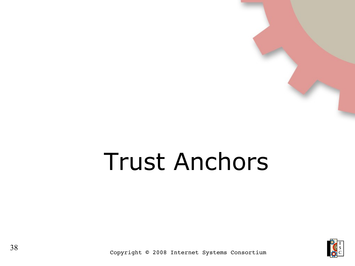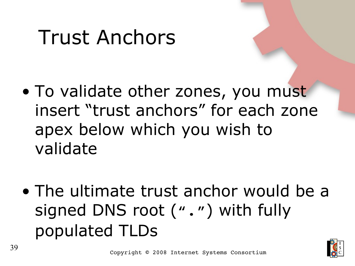- To validate other zones, you must insert "trust anchors" for each zone apex below which you wish to validate
- The ultimate trust anchor would be a signed DNS root (".") with fully populated TLDs

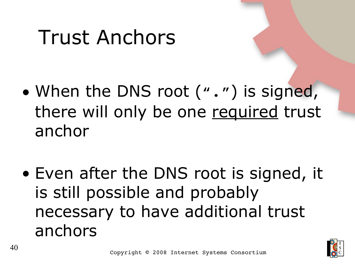- When the DNS root (".") is signed, there will only be one required trust anchor
- Even after the DNS root is signed, it is still possible and probably necessary to have additional trust anchors

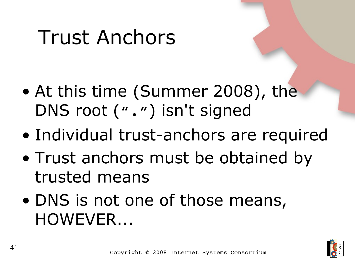- At this time (Summer 2008), the DNS root (".") isn't signed
- Individual trust-anchors are required
- Trust anchors must be obtained by trusted means
- DNS is not one of those means, HOWEVER...

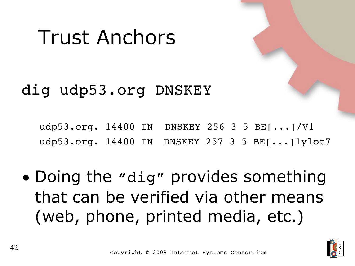### dig udp53.org DNSKEY

udp53.org. 14400 IN DNSKEY 256 3 5 BE[...]/V1 udp53.org. 14400 IN DNSKEY 257 3 5 BE[...]1ylot7

• Doing the "dig" provides something that can be verified via other means (web, phone, printed media, etc.)

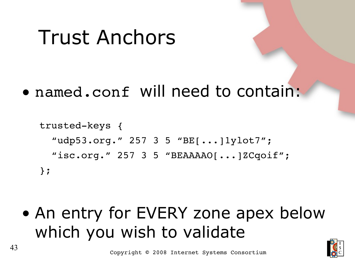• named.conf will need to contain:

```
trusted-keys {
    "udp53.org." 257 3 5 "BE[...]1ylot7";
    "isc.org." 257 3 5 "BEAAAAO[...]ZCqoif";
};
```
• An entry for EVERY zone apex below which you wish to validate

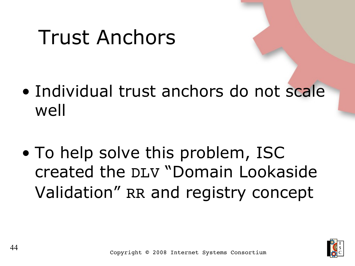- Individual trust anchors do not scale well
- To help solve this problem, ISC created the DLV "Domain Lookaside Validation" RR and registry concept

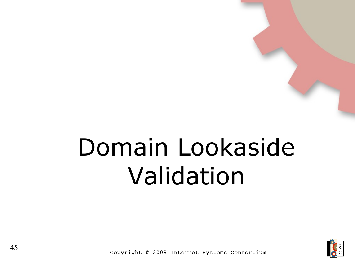# Domain Lookaside Validation

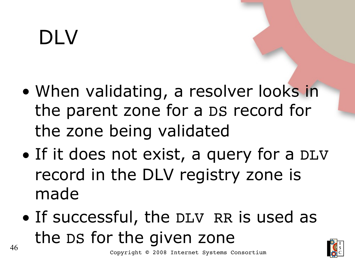## DLV

- When validating, a resolver looks in the parent zone for a DS record for the zone being validated
- If it does not exist, a query for a DLV record in the DLV registry zone is made
- <sup>46</sup> Copyright © 2008 Internet Systems Consortium • If successful, the DLV RR is used as the DS for the given zone

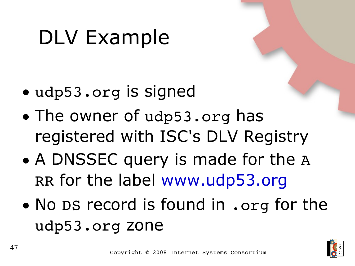## DLV Example

- udp53.org is signed
- The owner of udp53.org has registered with ISC's DLV Registry
- A DNSSEC query is made for the A RR for the label [www.udp53.org](http://www.udp53.org/)
- No DS record is found in .org for the udp53.org zone

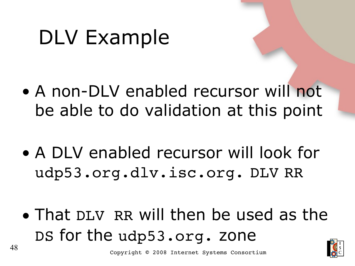## DLV Example

- A non-DLV enabled recursor will not be able to do validation at this point
- A DLV enabled recursor will look for udp53.org.dlv.isc.org. DLV RR
- That DLV RR will then be used as the DS for the udp53.org. zone

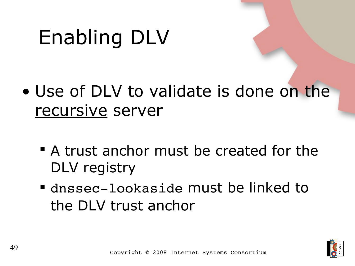# Enabling DLV

- Use of DLV to validate is done on the recursive server
	- A trust anchor must be created for the DLV registry
	- " dnssec-lookaside must be linked to the DLV trust anchor

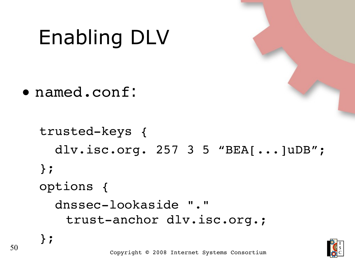# Enabling DLV

• named.conf:

```
trusted-keys {
    dlv.isc.org. 257 3 5 "BEA[...]uDB";
};
options {
  dnssec-lookaside "."
   trust-anchor dlv.isc.org.;
};
```
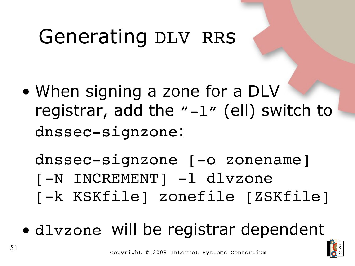## Generating DLV RRs

• When signing a zone for a DLV registrar, add the  $-1$ " (ell) switch to dnssec-signzone:

dnssec-signzone [-o zonename] [-N INCREMENT] -1 dlvzone

- [-k KSKfile] zonefile [ZSKfile]
- dlvzone will be registrar dependent

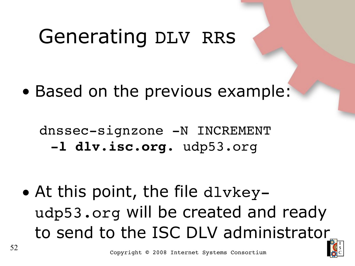## Generating DLV RRs

• Based on the previous example:

dnssec-signzone -N INCREMENT **l dlv.isc.org.** udp53.org

• At this point, the file dlykeyudp53.org will be created and ready to send to the ISC DLV administrator

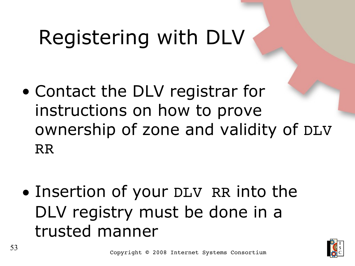## Registering with DLV

- Contact the DLV registrar for instructions on how to prove ownership of zone and validity of DLV RR
- Insertion of your DLV RR into the DLV registry must be done in a trusted manner

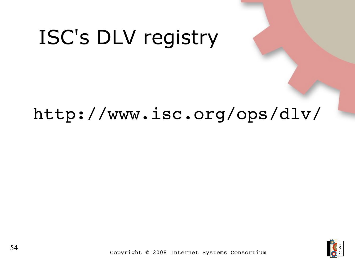## ISC's DLV registry

### http://www.isc.org/ops/dlv/

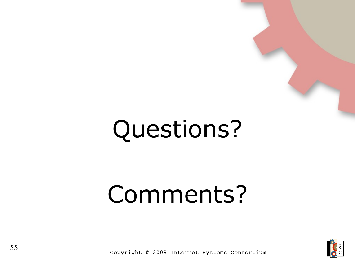# Questions?

# Comments?

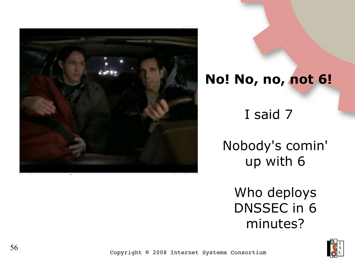

### **No! No, no, not 6!**

I said 7

Nobody's comin' up with 6

> Who deploys DNSSEC in 6 minutes?

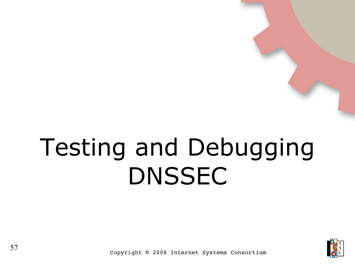# Testing and Debugging DNSSEC

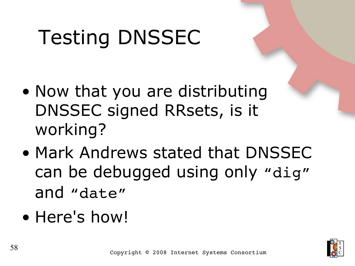# Testing DNSSEC

- Now that you are distributing DNSSEC signed RRsets, is it working?
- Mark Andrews stated that DNSSEC can be debugged using only "dig" and "date"
- Here's how!

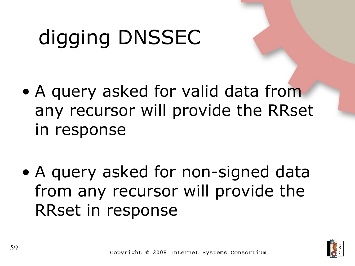# digging DNSSEC

- A query asked for valid data from any recursor will provide the RRset in response
- A query asked for non-signed data from any recursor will provide the RRset in response

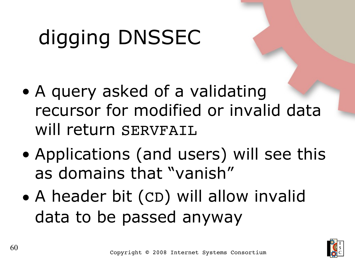# digging DNSSEC

- A query asked of a validating recursor for modified or invalid data will return SERVFAIL
- Applications (and users) will see this as domains that "vanish"
- A header bit (CD) will allow invalid data to be passed anyway

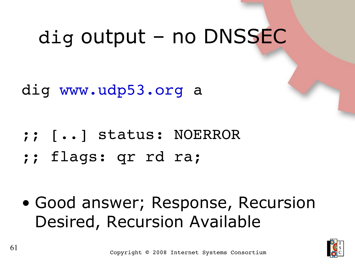## dig output – no DNSSEC

dig [www.udp53.org](http://www.udp53.org/) a

- ;; [..] status: NOERROR
- ;; flags: qr rd ra;

• Good answer; Response, Recursion Desired, Recursion Available

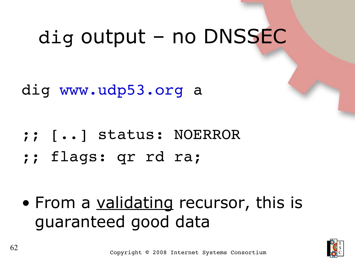### dig output – no DNSSEC

dig [www.udp53.org](http://www.udp53.org/) a

- ;; [..] status: NOERROR
- ;; flags: qr rd ra;

• From a validating recursor, this is guaranteed good data

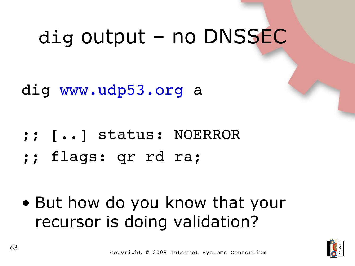### dig output – no DNSSEC

dig [www.udp53.org](http://www.udp53.org/) a

- ;; [..] status: NOERROR
- ;; flags: qr rd ra;

• But how do you know that your recursor is doing validation?

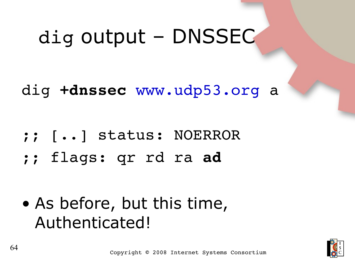## dig output – DNSSEC

dig **+dnssec** [www.udp53.org](http://www.udp53.org/) a

- ;; [..] status: NOERROR
- ;; flags: qr rd ra **ad**

• As before, but this time, Authenticated!

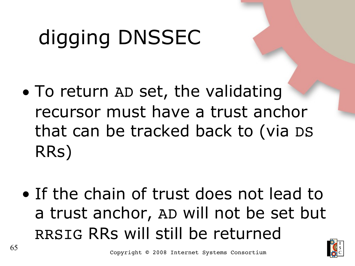# digging DNSSEC

- To return AD set, the validating recursor must have a trust anchor that can be tracked back to (via DS RRs)
- If the chain of trust does not lead to a trust anchor, AD will not be set but RRSIG RRs will still be returned

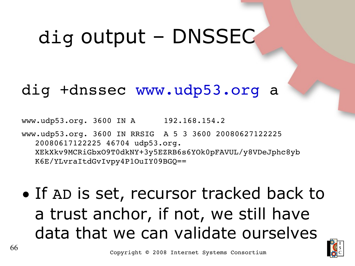## dig output – DNSSEC

#### dig +dnssec [www.udp53.org](http://www.udp53.org/) a

www.udp53.org. 3600 IN A 192.168.154.2 www.udp53.org. 3600 IN RRSIG A 5 3 3600 20080627122225 20080617122225 46704 udp53.org. XEkXkv9MCRiGbxO9T0dkNY+3y5EZRB6s6YOk0pFAVUL/y8VDeJphc8yb K6E/YLvraItdGvIvpy4P1OuIY09BGQ==

• If AD is set, recursor tracked back to a trust anchor, if not, we still have data that we can validate ourselves

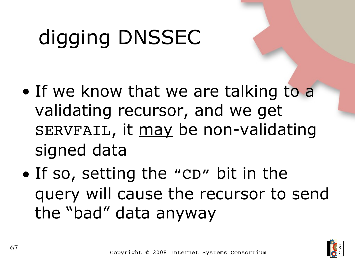# digging DNSSEC

- If we know that we are talking to a validating recursor, and we get SERVFAIL, it may be non-validating signed data
- If so, setting the "CD" bit in the query will cause the recursor to send the "bad" data anyway

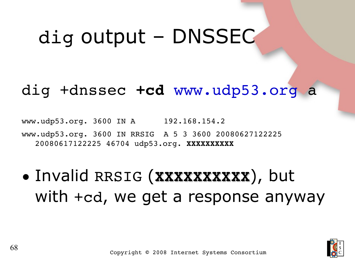## dig output – DNSSEC

#### dig +dnssec **+cd** [www.udp53.org](http://www.udp53.org/) a

www.udp53.org. 3600 IN A 192.168.154.2 www.udp53.org. 3600 IN RRSIG A 5 3 3600 20080627122225 20080617122225 46704 udp53.org. **XXXXXXXXXX**

• Invalid RRSIG (**XXXXXXXXXX**), but with +cd, we get a response anyway

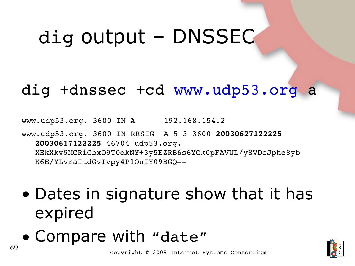## dig output – DNSSEC

#### dig +dnssec +cd [www.udp53.org](http://www.udp53.org/) a

www.udp53.org. 3600 IN A 192.168.154.2 www.udp53.org. 3600 IN RRSIG A 5 3 3600 **20030627122225 20030617122225** 46704 udp53.org. XEkXkv9MCRiGbxO9T0dkNY+3y5EZRB6s6YOk0pFAVUL/y8VDeJphc8yb K6E/YLvraItdGvIvpy4P1OuIY09BGQ==

- Dates in signature show that it has expired
- Compare with "date"

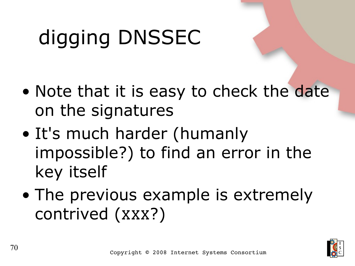# digging DNSSEC

- Note that it is easy to check the date on the signatures
- It's much harder (humanly impossible?) to find an error in the key itself
- The previous example is extremely contrived (XXX?)

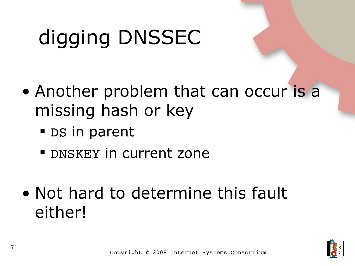# digging DNSSEC

- Another problem that can occur is a missing hash or key
	- DS in parent
	- **DINSKEY in current zone**
- Not hard to determine this fault either!

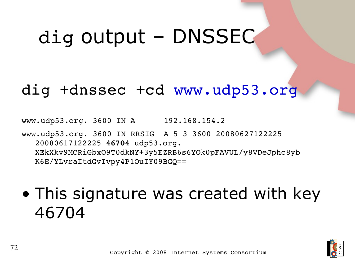## dig output – DNSSEC

#### dig +dnssec +cd [www.udp53.org](http://www.udp53.org/)

www.udp53.org. 3600 IN A 192.168.154.2 www.udp53.org. 3600 IN RRSIG A 5 3 3600 20080627122225 20080617122225 **46704** udp53.org. XEkXkv9MCRiGbxO9T0dkNY+3y5EZRB6s6YOk0pFAVUL/y8VDeJphc8yb K6E/YLvraItdGvIvpy4P1OuIY09BGQ==

• This signature was created with key 46704

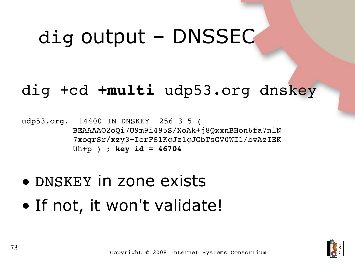#### dig +cd **+multi** udp53.org dnskey

udp53.org. 14400 IN DNSKEY 256 3 5 ( BEAAAAO2oQi7U9m9i495S/XoAk+j8QxxnBHon6fa7nlN 7xoqrSr/xzy3+IerFS1KgJz1gJGbTsGV0WI1/bvAzIEK Uh+p ) ; **key id = 46704**

- DNSKEY in zone exists
- If not, it won't validate!

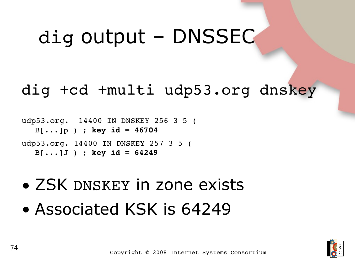#### dig +cd +multi udp53.org dnskey

udp53.org. 14400 IN DNSKEY 256 3 5 ( B[...]p ) ; **key id = 46704** udp53.org. 14400 IN DNSKEY 257 3 5 ( B[...]J ) ; **key id = 64249**

- ZSK DNSKEY in zone exists
- Associated KSK is 64249

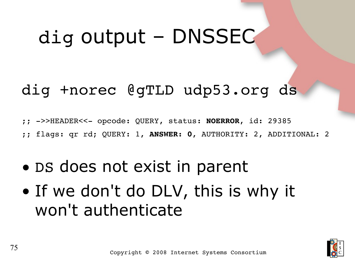#### dig +norec @gTLD udp53.org ds

;; >>HEADER<< opcode: QUERY, status: **NOERROR**, id: 29385

;; flags: qr rd; QUERY: 1, **ANSWER: 0**, AUTHORITY: 2, ADDITIONAL: 2

- DS does not exist in parent
- If we don't do DLV, this is why it won't authenticate

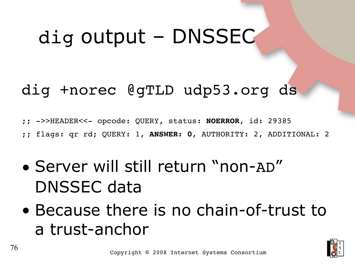#### dig +norec @gTLD udp53.org ds

;; >>HEADER<< opcode: QUERY, status: **NOERROR**, id: 29385

;; flags: qr rd; QUERY: 1, **ANSWER: 0**, AUTHORITY: 2, ADDITIONAL: 2

- Server will still return "non-AD" DNSSEC data
- Because there is no chain-of-trust to a trust-anchor

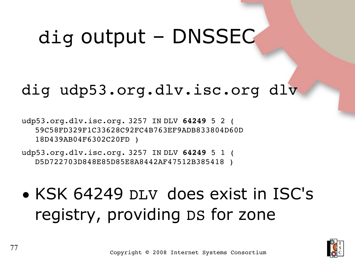#### dig udp53.org.dlv.isc.org dlv

udp53.org.dlv.isc.org. 3257 IN DLV **64249** 5 2 ( 59C58FD329F1C33628C92FC4B763EF9ADB833804D60D 18D439AB04F6302C20FD )

udp53.org.dlv.isc.org. 3257 IN DLV **64249** 5 1 ( D5D722703D848E85D85E8A8442AF47512B385418 )

### • KSK 64249 DLV does exist in ISC's registry, providing DS for zone

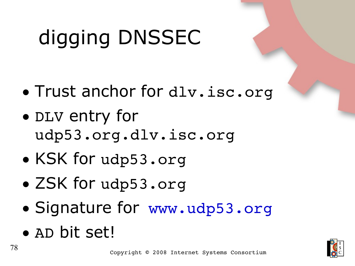## digging DNSSEC

- Trust anchor for dlv.isc.org
- DLV entry for udp53.org.dlv.isc.org
- KSK for udp53.org
- ZSK for udp53.org
- Signature for [www.udp53.org](http://www.udp53.org/)
- AD bit set!